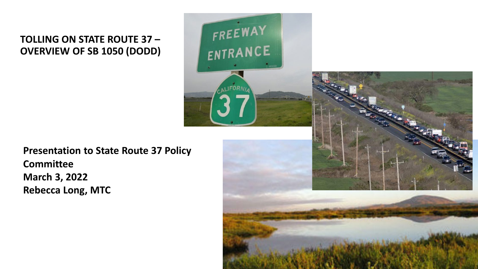#### **TOLLING ON STATE ROUTE 37 – OVERVIEW OF SB 1050 (DODD)**





**Presentation to State Route 37 Policy Committee March 3, 2022 Rebecca Long, MTC**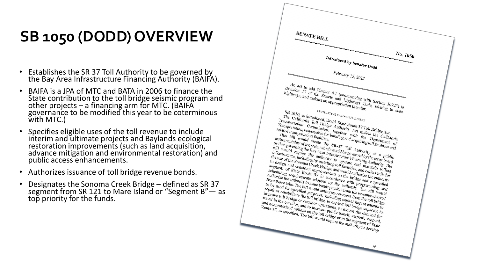## **SB 1050 (DODD) OVERVIEW**

- Establishes the SR 37 Toll Authority to be governed by the Bay Area Infrastructure Financing Authority (BAIFA).
- BAIFA is a JPA of MTC and BATA in 2006 to finance the State contribution to the toll bridge seismic program and other projects – a financing arm for MTC. (BAIFĂ<br>governance to be modified this year to be coterminous with MTC.)
- Specifies eligible uses of the toll revenue to include interim and ultimate projects and Baylands ecological restoration improvements (such as land acquisition, advance mitigation and environmental restoration) and public access enhancements.
- Authorizes issuance of toll bridge revenue bonds.
- Designates the Sonoma Creek Bridge defined as SR 37 segment from SR 121 to Mare Island or "Segment B" — as top priority for the funds.

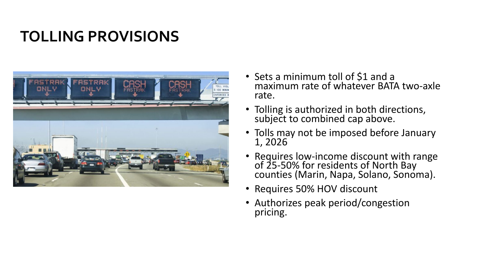### **TOLLING PROVISIONS**



- Sets a minimum toll of \$1 and a maximum rate of whatever BATA two-axle rate.
- Tolling is authorized in both directions, subject to combined cap above.
- Tolls may not be imposed before January 1, 2026
- Requires low-income discount with range of 25-50% for residents of North Bay counties (Marin, Napa, Solano, Sonoma).
- Requires 50% HOV discount
- Authorizes peak period/congestion pricing.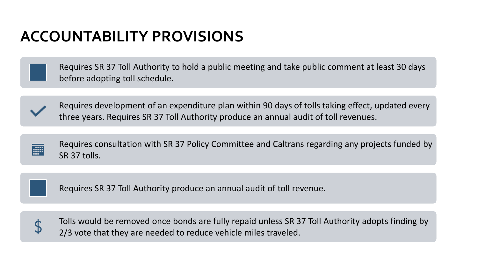#### **ACCOUNTABILITY PROVISIONS**

Requires SR 37 Toll Authority to hold a public meeting and take public comment at least 30 days before adopting toll schedule.



Requires development of an expenditure plan within 90 days of tolls taking effect, updated every three years. Requires SR 37 Toll Authority produce an annual audit of toll revenues.



Requires SR 37 Toll Authority produce an annual audit of toll revenue.



Tolls would be removed once bonds are fully repaid unless SR 37 Toll Authority adopts finding by 2/3 vote that they are needed to reduce vehicle miles traveled.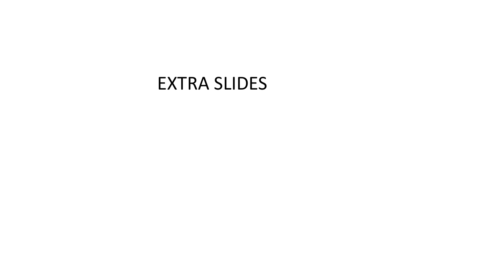### EXTRA SLIDES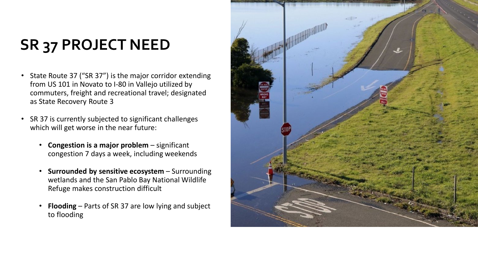# **SR 37 PROJECT NEED**

- State Route 37 ("SR 37") is the major corridor extending from US 101 in Novato to I -80 in Vallejo utilized by commuters, freight and recreational travel; designated as State Recovery Route 3
- SR 37 is currently subjected to significant challenges which will get worse in the near future:
	- **Congestion is a major problem**  significant congestion 7 days a week, including weekends
	- **Surrounded by sensitive ecosystem**  Surrounding wetlands and the San Pablo Bay National Wildlife Refuge makes construction difficult
	- **Flooding** Parts of SR 37 are low lying and subject to flooding

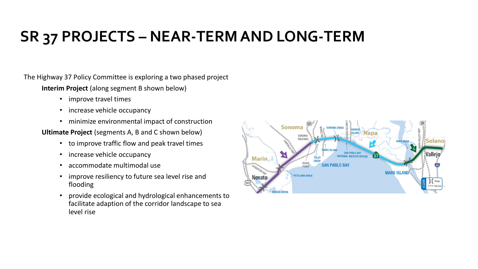### **SR 37 PROJECTS – NEAR-TERM AND LONG-TERM**

The Highway 37 Policy Committee is exploring a two phased project

**Interim Project** (along segment B shown below)

- improve travel times
- increase vehicle occupancy
- minimize environmental impact of construction

**Ultimate Project** (segments A, B and C shown below)

- to improve traffic flow and peak travel times
- increase vehicle occupancy
- accommodate multimodal use
- improve resiliency to future sea level rise and flooding
- provide ecological and hydrological enhancements to facilitate adaption of the corridor landscape to sea level rise